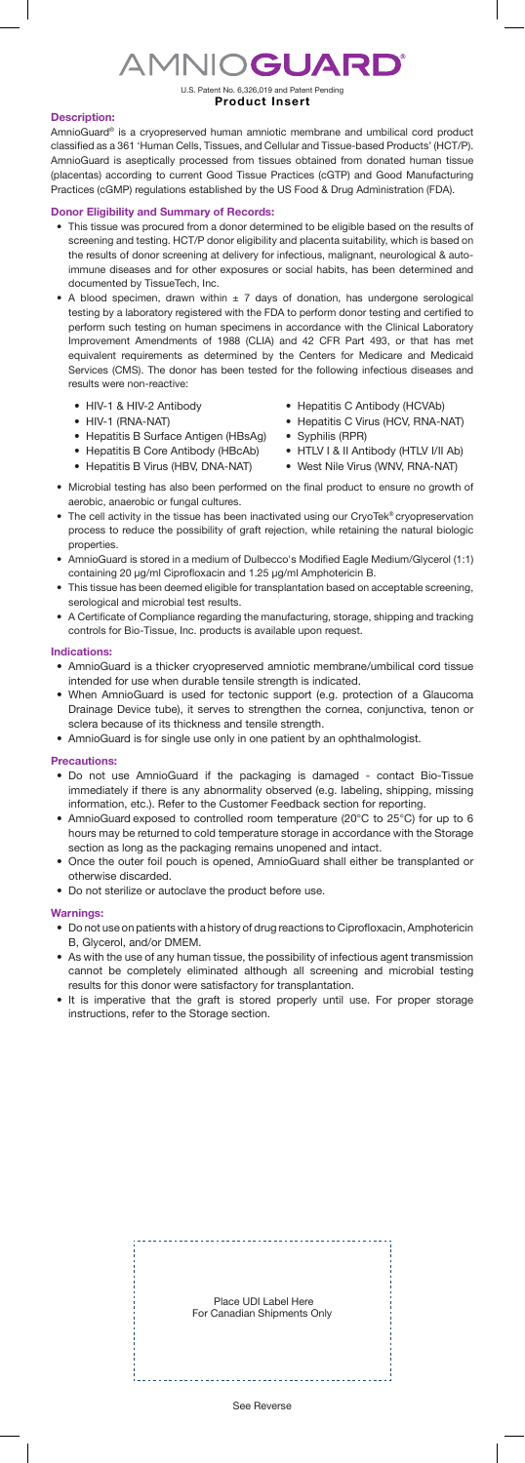# **AMNIOGUARD®**

U.S. Patent No. 6,326,019 and Patent Pending **Product Insert**

## **Description:**

AmnioGuard® is a cryopreserved human amniotic membrane and umbilical cord product classified as a 361 'Human Cells, Tissues, and Cellular and Tissue-based Products' (HCT/P). AmnioGuard is aseptically processed from tissues obtained from donated human tissue (placentas) according to current Good Tissue Practices (cGTP) and Good Manufacturing Practices (cGMP) regulations established by the US Food & Drug Administration (FDA).

# **Donor Eligibility and Summary of Records:**

- This tissue was procured from a donor determined to be eligible based on the results of screening and testing. HCT/P donor eligibility and placenta suitability, which is based on the results of donor screening at delivery for infectious, malignant, neurological & autoimmune diseases and for other exposures or social habits, has been determined and documented by TissueTech, Inc.
- A blood specimen, drawn within  $\pm$  7 days of donation, has undergone serological testing by a laboratory registered with the FDA to perform donor testing and certified to perform such testing on human specimens in accordance with the Clinical Laboratory Improvement Amendments of 1988 (CLIA) and 42 CFR Part 493, or that has met equivalent requirements as determined by the Centers for Medicare and Medicaid Services (CMS). The donor has been tested for the following infectious diseases and results were non-reactive:
	- HIV-1 & HIV-2 Antibody
	- HIV-1 (RNA-NAT)
	- Hepatitis B Surface Antigen (HBsAg)
	- Hepatitis B Core Antibody (HBcAb)
	- Hepatitis B Virus (HBV, DNA-NAT)
- Hepatitis C Antibody (HCVAb)
- Hepatitis C Virus (HCV, RNA-NAT)
- Syphilis (RPR)
- HTLV I & II Antibody (HTLV I/II Ab)
- West Nile Virus (WNV, RNA-NAT)
- Microbial testing has also been performed on the final product to ensure no growth of aerobic, anaerobic or fungal cultures.
- The cell activity in the tissue has been inactivated using our CryoTek® cryopreservation process to reduce the possibility of graft rejection, while retaining the natural biologic properties.
- AmnioGuard is stored in a medium of Dulbecco's Modified Eagle Medium/Glycerol (1:1) containing 20 µg/ml Ciprofloxacin and 1.25 µg/ml Amphotericin B.
- This tissue has been deemed eligible for transplantation based on acceptable screening, serological and microbial test results.
- A Certificate of Compliance regarding the manufacturing, storage, shipping and tracking controls for Bio-Tissue, Inc. products is available upon request.

### **Indications:**

- AmnioGuard is a thicker cryopreserved amniotic membrane/umbilical cord tissue intended for use when durable tensile strength is indicated.
- When AmnioGuard is used for tectonic support (e.g. protection of a Glaucoma Drainage Device tube), it serves to strengthen the cornea, conjunctiva, tenon or sclera because of its thickness and tensile strength.
- AmnioGuard is for single use only in one patient by an ophthalmologist.

## **Precautions:**

- Do not use AmnioGuard if the packaging is damaged contact Bio-Tissue immediately if there is any abnormality observed (e.g. labeling, shipping, missing information, etc.). Refer to the Customer Feedback section for reporting.
- AmnioGuard exposed to controlled room temperature (20°C to 25°C) for up to 6 hours may be returned to cold temperature storage in accordance with the Storage section as long as the packaging remains unopened and intact.
- Once the outer foil pouch is opened, AmnioGuard shall either be transplanted or otherwise discarded.
- Do not sterilize or autoclave the product before use.

#### **Warnings:**

- Do not use on patients with a history of drug reactions to Ciprofloxacin, Amphotericin B, Glycerol, and/or DMEM.
- As with the use of any human tissue, the possibility of infectious agent transmission cannot be completely eliminated although all screening and microbial testing results for this donor were satisfactory for transplantation.
- It is imperative that the graft is stored properly until use. For proper storage instructions, refer to the Storage section.

 Place UDI Label Here For Canadian Shipments Only

#### See Reverse